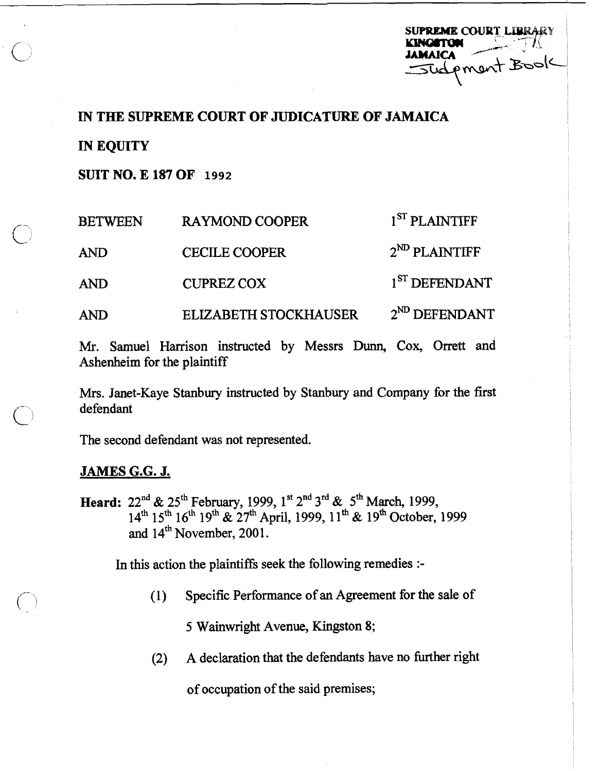| <b>SUPREME COURT LIBRARY</b> |
|------------------------------|
| <b>KINGSTON</b>              |
| <b>JAMAICA</b>               |
| Sudpment Book                |
|                              |

## **IN THE SUPREME COURT OF JUDICATURE OF JAMAICA** <sup>I</sup>

**IN EQUITY** 

'1

**SUITNO.El87OF 1992** 

| <b>BETWEEN</b> | <b>RAYMOND COOPER</b>        | 1 <sup>ST</sup> PLAINTIFF |
|----------------|------------------------------|---------------------------|
| <b>AND</b>     | <b>CECILE COOPER</b>         | $2^{ND}$ PLAINTIFF        |
| <b>AND</b>     | <b>CUPREZ COX</b>            | 1 <sup>ST</sup> DEFENDANT |
| AND            | <b>ELIZABETH STOCKHAUSER</b> | $2^{ND}$ DEFENDANT        |

Mr. Samuel Harrison instructed by Messrs Dunn, Cox, Orrett and Ashenheim for the plaintiff

Mrs. Janet-Kaye Stanbury instructed by Stanbury and Company for the first defendant

The second defendant was not represented.

# **JAMES** *G.G.* **J.**

Heard:  $22<sup>nd</sup> \& 25<sup>th</sup>$  February, 1999, 1<sup>st</sup>  $2<sup>nd</sup> 3<sup>rd</sup> \& 5<sup>th</sup> March, 1999,$  $14<sup>th</sup> 15<sup>th</sup> 16<sup>th</sup> 19<sup>th</sup>$  &  $27<sup>th</sup>$  April, 1999,  $11<sup>th</sup>$  &  $19<sup>th</sup>$  October, 1999 and  $14^{\text{th}}$  November, 2001.

In this action the plaintiffs seek the following remedies :-

(1) Specific Performance of an Agreement for the sale of <sup>i</sup>

5 Wainwright Avenue, Kingston 8;

(2) A declaration that the defendants have no further right

of occupation of the said premises; I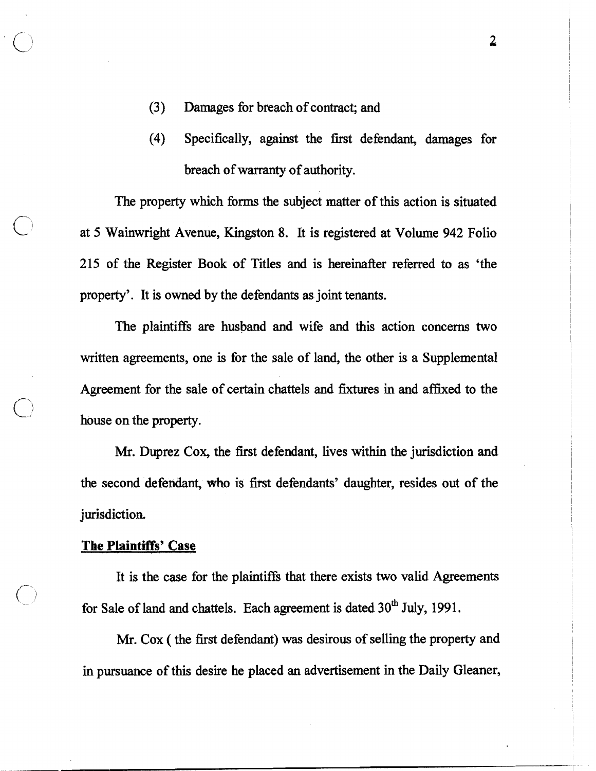- (3) Damages for breach of contract; and
- (4) Specifically, against the first defendant, damages for breach of warranty of authority.

The property which forms the subject matter of this action is situated at 5 Wainwright Avenue, Kingston 8. It is registered at Volume 942 Folio 215 of the Register Book of Titles and is hereinafter referred to as 'the property'. It is owned by the defendants as joint tenants.

The plaintiffs are husband and wife and this action concerns two written agreements, one is for the sale of land, the other is a Supplemental Agreement for the sale of certain chattels and fixtures in and affixed to the house on the property.

Mr. Duprez Cox, the first defendant, lives within the jurisdiction and the second defendant, who is fifst defendants' daughter, resides out of the jurisdiction.

# The Plaintiffs' **Case**

It is the case for the plaintiffs that there exists two valid Agreements for Sale of land and chattels. Each agreement is dated 30<sup>th</sup> July, 1991.

Mr. Cox ( the first defendant) was desirous of selling the property and in pursuance of this desire he placed an advertisement in the Daily Gleaner,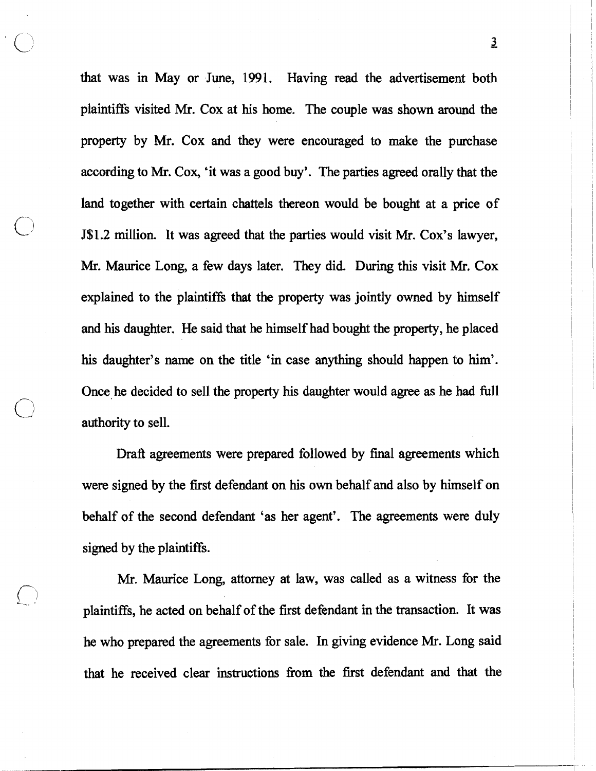that was in May or June, 1991. Having read the advertisement both plaintiffs visited Mr. Cox at his home. The couple was shown around the property by Mr. Cox and they were encouraged to make the purchase according to Mr. Cox, 'it was a good buy'. The parties agreed orally that the land together with certain chattels thereon would be bought at a price of **J\$1.2** million. It was agreed that the parties would visit Mr. Cox's lawyer, Mr. Maurice Long, a few days later. They did. During this visit **Mr.** Cox explained to the plaintiffi that the property was jointly owned by himself and his daughter. He said that he himself had bought the property, he placed his daughter's name on the title 'in case anything should happen to him'. Once he decided to sell the property his daughter would agree as he had fill authority to sell.

Draft agreements were prepared followed by final agreements which were signed by the first defendant on his own behalf and also by himself on behalf of the second defendant 'as her agent'. The agreements were duly signed by the plaintiffs.

Mr. Maurice Long, attorney at law, was called as a witness for the plaintiffs, he acted on behalf of the first defendant in the transaction. It was he who prepared the agreements for sale. In giving evidence Mr. Long said that he received clear instructions fiom the first defendant and that the

**a**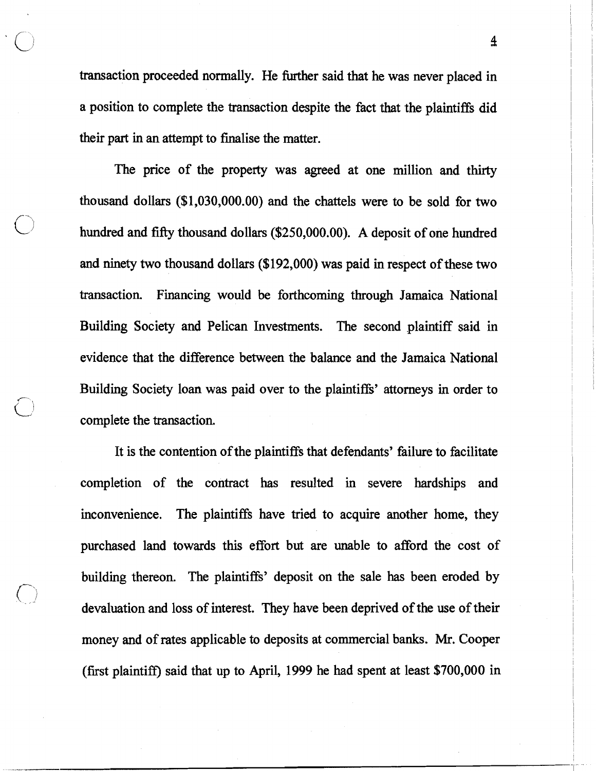transaction proceeded normally. He further said that he was never placed in a position to complete the transaction despite the fact that the plaintiffs did their part in an attempt to finalise the matter.

The price of the property was agreed at one million and thirty thousand dollars (\$1,030,000.00) and the chattels were to be sold for two hundred and fifty thousand dollars (\$250,000.00). A deposit of one hundred and ninety two thousand dollars (\$192,000) was paid in respect of these two transaction. Financing would be forthcoming through Jamaica National Building Society and Pelican Investments. The second plaintiff said in evidence that the difference between the balance and the Jamaica National Building Society loan was paid over to the plaintiffs' attorneys in order to complete the transaction.

It is the contention of the plaintiffs that defendants' failure to facilitate completion of the contract has resulted in severe hardships and inconvenience. The plaintiffs have tried to acquire another home, they purchased land towards this effort but are unable to afford the cost of building thereon. The plaintiffs' deposit on the sale has been eroded by devaluation and loss of interest. They have been deprived of the use of their money and of rates applicable to deposits at commercial banks. Mr. Cooper (first plaintifl) said that up to April, 1999 he had spent at least \$700,000 in

4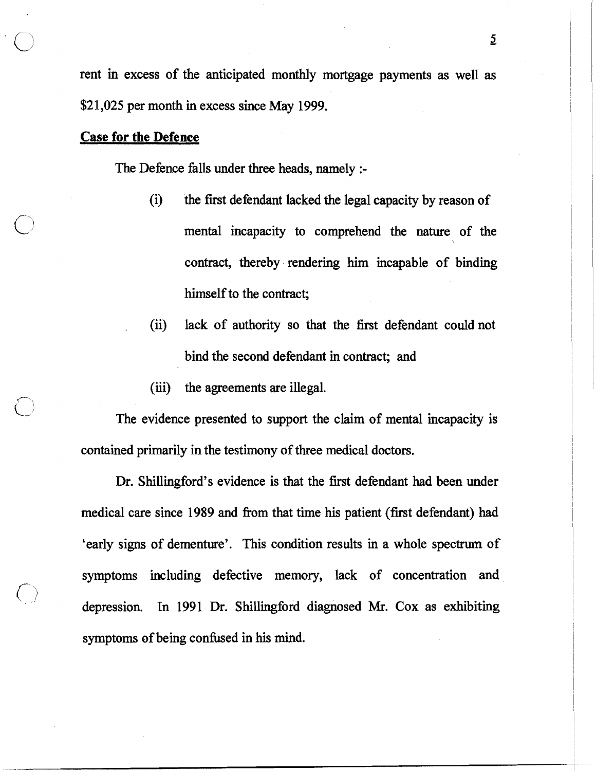rent in excess of the anticipated monthly mortgage payments as well as \$2 1,025 per month in excess since May **1999.** 

### **Case** for **the Defence**

The Defence falls under three heads, namely :-

- (i) the first defendant lacked the legal capacity by reason of mental incapacity to comprehend the nature of the contract, thereby rendering him incapable of binding himself to the contract;
- (ii) lack of authority so that the first defendant could not bind the second defendant in contract; and
- (iii) the agreements are illegal.

The evidence presented to support the claim of mental incapacity is contained primarily in the testimony of three medical doctors.

Dr. Shillingford's evidence is that the first defendant had been under medical care since **1989** and fiom that time his patient (first defendant) had 'early signs of dementure'. This condition results in a whole spectrum of symptoms including defective memory, lack of concentration and depression. In **1991** Dr. Shillingford diagnosed Mr. Cox as exhibiting symptoms of being confused in his mind.

 $\overline{2}$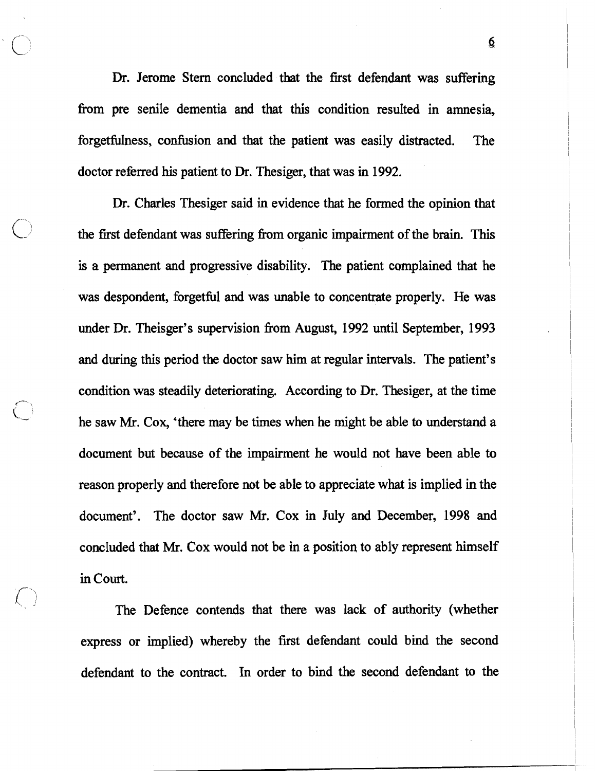Dr. Jerome Stern concluded that the first defendant was suffering from pre senile dementia and that this condition resulted in amnesia, forgetfulness, confusion and that the patient was easily distracted. The doctor referred his patient to Dr. Thesiger, that was in 1992.

Dr. Charles Thesiger said in evidence that he formed the opinion that the first defendant was suffering from organic impairment of the brain. This is a permanent and progressive disability. The patient complained that he was despondent, forgetful and was unable to concentrate properly. He was under Dr. Theisger's supervision from August, 1992 until September, 1993 and during this period the doctor saw him at regular intervals. The patient's condition was steadily deteriorating. According to Dr. Thesiger, at the time he saw Mr. Cox, 'there may be times when he might be able to understand a document but because of the impairment he would not have been able to reason properly and therefore not be able to appreciate what is implied in the document'. The doctor saw Mr. Cox in July and December, 1998 and concluded that Mr. Cox would not be in a position to ably represent himself in Court.

 $\sum_{i=1}^n$ 

The Defence contends that there was lack of authority (whether express or implied) whereby the first defendant could bind the second defendant to the contract. In order to bind the second defendant to the

 $\boldsymbol{\Omega}$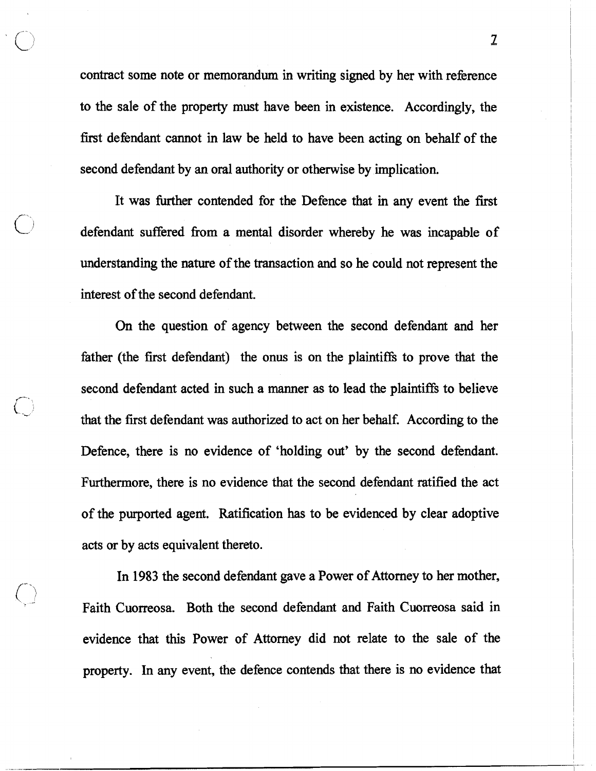contract some note or memorandum in writing signed by her with reference to the sale of the property must have been in existence. Accordingly, the first defendant cannot in law be held to have been acting on behalf of the second defendant by an oral authority or otherwise by implication.

It was further contended for the Defence that in any event the first defendant suffered fiom a mental disorder whereby he was incapable of understanding the nature of the transaction and so he could not represent the interest of the second defendant.

On the question of agency between the second defendant and her father (the first defendant) the onus is on the plaintiffs to prove that the second defendant acted in such a manner as to lead the plaintiffs to believe that the first defendant was authorized to act on her behalf. According to the Defence, there is no evidence of 'holding out' by the second defendant. Furthermore, there is no evidence that the second defendant ratified the act of the purported agent. Ratification has to be evidenced by clear adoptive acts or by acts equivalent thereto.

In 1983 the second defendant gave a Power of Attorney to her mother, Faith Cuorreosa, Both the second defendant and Faith Cuorreosa said in evidence that this Power of Attorney did not relate to the sale of the property. In any event, the defence contends that there is no evidence that

 $\mathfrak I$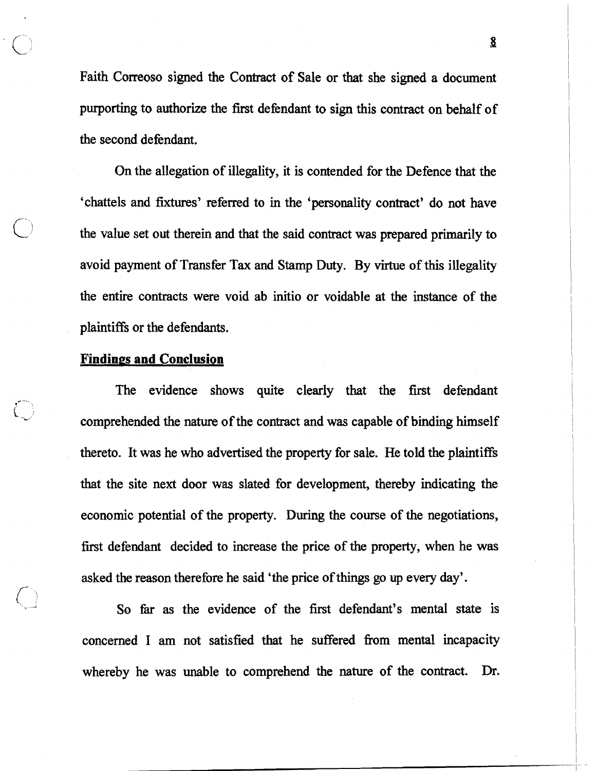Faith Correoso signed the Contract of Sale or that she signed a document purporting to authorize the first defendant to sign this contract on behalf of the second defendant.

On the allegation of illegality, it is contended for the Defence that the 'chattels and **fixtures'** referred to in the 'personality contract' do not have the value set out therein and that the said contract was prepared primarily to avoid payment of Transfer Tax and Stamp **Duty.** By virtue of this illegality the entire contracts were void ab initio or voidable at the instance of the plaintiffs or the defendants.

#### **Findings and Conclusion**

The evidence shows quite clearly that the first defendant comprehended the nature of the contract and was capable of binding himself thereto. It was he who advertised the property for sale. He told the plaintiffs that the site next door was slated for development, thereby indicating the economic potential of the property. During the course of the negotiations, first defendant decided to increase the price of the property, when he was asked the reason therefore he said 'the price of things go up every day'.

So fir as the evidence of the first defendant's mental state is concerned **I** am not satisfied that he suffered fiom mental incapacity whereby he was unable to comprehend the nature of the contract. Dr.

**B**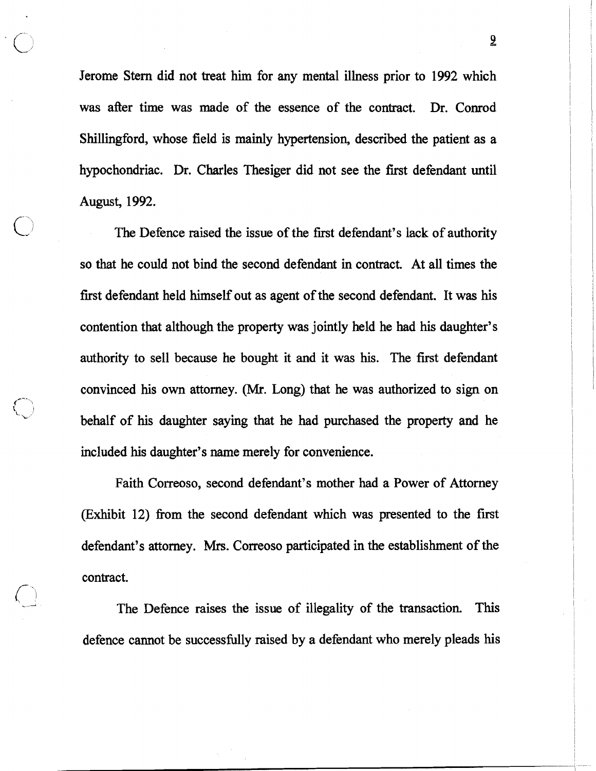Jerome Stern did not treat him for any mental illness prior to **1992** which was after time was made of the essence of the contract. Dr. Conrod Shillingford, whose field is mainly hypertension, described the patient as a hypochondriac. Dr. Charles Thesiger did not see the first defendant until August, **1992.** 

The Defence raised the issue of the first defendant's lack of authority so that he could not bind the second defendant in contract. At all times the first defendant held himself out as agent of the second defendant. It was his contention that although the property was jointly held he had his daughter's authority to sell because he bought it and it was his. The first defendant convinced his own attorney. (Mr. Long) that he was authorized to sign on behalf of his daughter saying that he had purchased the property and he included his daughter's name merely for convenience.

Faith Correoso, second defendant's mother had a Power of Attorney (Exhibit **12)** fiom the second defendant which was presented to the first defendant's attorney. Mrs. Correoso participated in the establishment of the contract.

The Defence raises the issue of illegality of the transaction This defence cannot be successfully raised by a defendant who merely pleads his

2